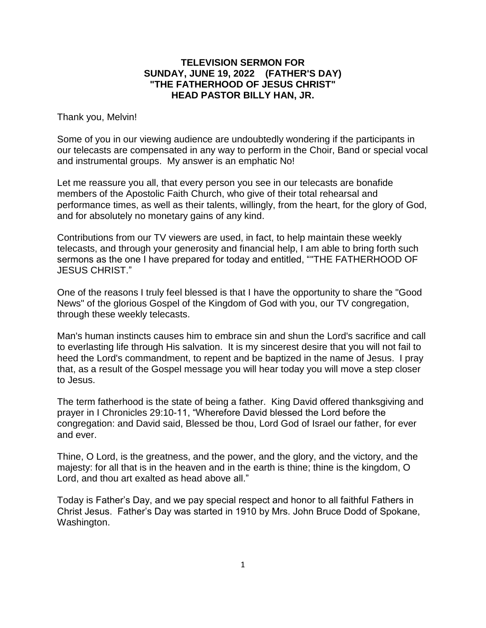## **TELEVISION SERMON FOR SUNDAY, JUNE 19, 2022 (FATHER'S DAY) "THE FATHERHOOD OF JESUS CHRIST" HEAD PASTOR BILLY HAN, JR.**

Thank you, Melvin!

Some of you in our viewing audience are undoubtedly wondering if the participants in our telecasts are compensated in any way to perform in the Choir, Band or special vocal and instrumental groups. My answer is an emphatic No!

Let me reassure you all, that every person you see in our telecasts are bonafide members of the Apostolic Faith Church, who give of their total rehearsal and performance times, as well as their talents, willingly, from the heart, for the glory of God, and for absolutely no monetary gains of any kind.

Contributions from our TV viewers are used, in fact, to help maintain these weekly telecasts, and through your generosity and financial help, I am able to bring forth such sermons as the one I have prepared for today and entitled, ""THE FATHERHOOD OF JESUS CHRIST."

One of the reasons I truly feel blessed is that I have the opportunity to share the "Good News" of the glorious Gospel of the Kingdom of God with you, our TV congregation, through these weekly telecasts.

Man's human instincts causes him to embrace sin and shun the Lord's sacrifice and call to everlasting life through His salvation. It is my sincerest desire that you will not fail to heed the Lord's commandment, to repent and be baptized in the name of Jesus. I pray that, as a result of the Gospel message you will hear today you will move a step closer to Jesus.

The term fatherhood is the state of being a father. King David offered thanksgiving and prayer in I Chronicles 29:10-11, "Wherefore David blessed the Lord before the congregation: and David said, Blessed be thou, Lord God of Israel our father, for ever and ever.

Thine, O Lord, is the greatness, and the power, and the glory, and the victory, and the majesty: for all that is in the heaven and in the earth is thine; thine is the kingdom, O Lord, and thou art exalted as head above all."

Today is Father's Day, and we pay special respect and honor to all faithful Fathers in Christ Jesus. Father's Day was started in 1910 by Mrs. John Bruce Dodd of Spokane, Washington.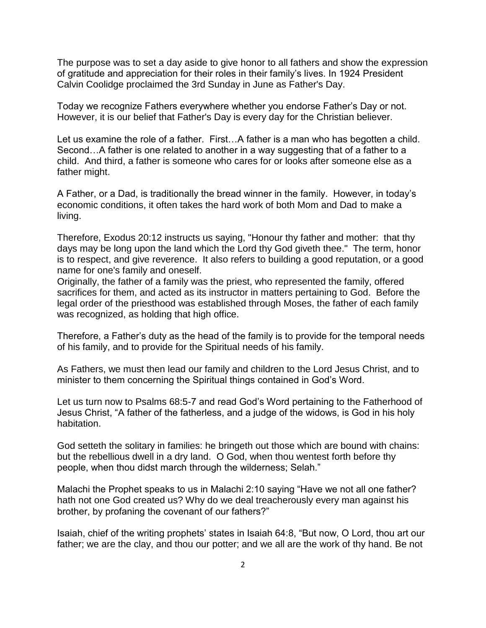The purpose was to set a day aside to give honor to all fathers and show the expression of gratitude and appreciation for their roles in their family's lives. In 1924 President Calvin Coolidge proclaimed the 3rd Sunday in June as Father's Day.

Today we recognize Fathers everywhere whether you endorse Father's Day or not. However, it is our belief that Father's Day is every day for the Christian believer.

Let us examine the role of a father. First...A father is a man who has begotten a child. Second…A father is one related to another in a way suggesting that of a father to a child. And third, a father is someone who cares for or looks after someone else as a father might.

A Father, or a Dad, is traditionally the bread winner in the family. However, in today's economic conditions, it often takes the hard work of both Mom and Dad to make a living.

Therefore, Exodus 20:12 instructs us saying, "Honour thy father and mother: that thy days may be long upon the land which the Lord thy God giveth thee." The term, honor is to respect, and give reverence. It also refers to building a good reputation, or a good name for one's family and oneself.

Originally, the father of a family was the priest, who represented the family, offered sacrifices for them, and acted as its instructor in matters pertaining to God. Before the legal order of the priesthood was established through Moses, the father of each family was recognized, as holding that high office.

Therefore, a Father's duty as the head of the family is to provide for the temporal needs of his family, and to provide for the Spiritual needs of his family.

As Fathers, we must then lead our family and children to the Lord Jesus Christ, and to minister to them concerning the Spiritual things contained in God's Word.

Let us turn now to Psalms 68:5-7 and read God's Word pertaining to the Fatherhood of Jesus Christ, "A father of the fatherless, and a judge of the widows, is God in his holy habitation.

God setteth the solitary in families: he bringeth out those which are bound with chains: but the rebellious dwell in a dry land. O God, when thou wentest forth before thy people, when thou didst march through the wilderness; Selah."

Malachi the Prophet speaks to us in Malachi 2:10 saying "Have we not all one father? hath not one God created us? Why do we deal treacherously every man against his brother, by profaning the covenant of our fathers?"

Isaiah, chief of the writing prophets' states in Isaiah 64:8, "But now, O Lord, thou art our father; we are the clay, and thou our potter; and we all are the work of thy hand. Be not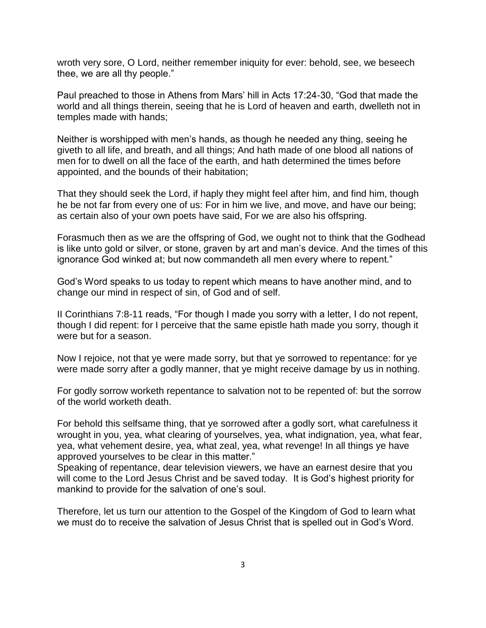wroth very sore, O Lord, neither remember iniquity for ever: behold, see, we beseech thee, we are all thy people."

Paul preached to those in Athens from Mars' hill in Acts 17:24-30, "God that made the world and all things therein, seeing that he is Lord of heaven and earth, dwelleth not in temples made with hands;

Neither is worshipped with men's hands, as though he needed any thing, seeing he giveth to all life, and breath, and all things; And hath made of one blood all nations of men for to dwell on all the face of the earth, and hath determined the times before appointed, and the bounds of their habitation;

That they should seek the Lord, if haply they might feel after him, and find him, though he be not far from every one of us: For in him we live, and move, and have our being; as certain also of your own poets have said, For we are also his offspring.

Forasmuch then as we are the offspring of God, we ought not to think that the Godhead is like unto gold or silver, or stone, graven by art and man's device. And the times of this ignorance God winked at; but now commandeth all men every where to repent."

God's Word speaks to us today to repent which means to have another mind, and to change our mind in respect of sin, of God and of self.

II Corinthians 7:8-11 reads, "For though I made you sorry with a letter, I do not repent, though I did repent: for I perceive that the same epistle hath made you sorry, though it were but for a season.

Now I rejoice, not that ye were made sorry, but that ye sorrowed to repentance: for ye were made sorry after a godly manner, that ye might receive damage by us in nothing.

For godly sorrow worketh repentance to salvation not to be repented of: but the sorrow of the world worketh death.

For behold this selfsame thing, that ye sorrowed after a godly sort, what carefulness it wrought in you, yea, what clearing of yourselves, yea, what indignation, yea, what fear, yea, what vehement desire, yea, what zeal, yea, what revenge! In all things ye have approved yourselves to be clear in this matter."

Speaking of repentance, dear television viewers, we have an earnest desire that you will come to the Lord Jesus Christ and be saved today. It is God's highest priority for mankind to provide for the salvation of one's soul.

Therefore, let us turn our attention to the Gospel of the Kingdom of God to learn what we must do to receive the salvation of Jesus Christ that is spelled out in God's Word.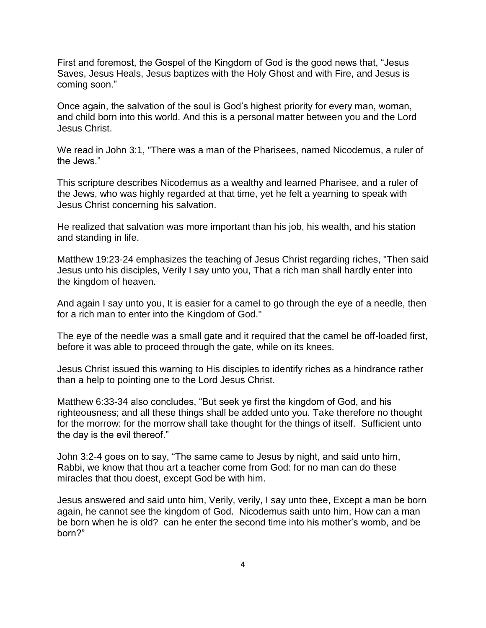First and foremost, the Gospel of the Kingdom of God is the good news that, "Jesus Saves, Jesus Heals, Jesus baptizes with the Holy Ghost and with Fire, and Jesus is coming soon."

Once again, the salvation of the soul is God's highest priority for every man, woman, and child born into this world. And this is a personal matter between you and the Lord Jesus Christ.

We read in John 3:1, "There was a man of the Pharisees, named Nicodemus, a ruler of the Jews."

This scripture describes Nicodemus as a wealthy and learned Pharisee, and a ruler of the Jews, who was highly regarded at that time, yet he felt a yearning to speak with Jesus Christ concerning his salvation.

He realized that salvation was more important than his job, his wealth, and his station and standing in life.

Matthew 19:23-24 emphasizes the teaching of Jesus Christ regarding riches, "Then said Jesus unto his disciples, Verily I say unto you, That a rich man shall hardly enter into the kingdom of heaven.

And again I say unto you, It is easier for a camel to go through the eye of a needle, then for a rich man to enter into the Kingdom of God."

The eye of the needle was a small gate and it required that the camel be off-loaded first, before it was able to proceed through the gate, while on its knees.

Jesus Christ issued this warning to His disciples to identify riches as a hindrance rather than a help to pointing one to the Lord Jesus Christ.

Matthew 6:33-34 also concludes, "But seek ye first the kingdom of God, and his righteousness; and all these things shall be added unto you. Take therefore no thought for the morrow: for the morrow shall take thought for the things of itself. Sufficient unto the day is the evil thereof."

John 3:2-4 goes on to say, "The same came to Jesus by night, and said unto him, Rabbi, we know that thou art a teacher come from God: for no man can do these miracles that thou doest, except God be with him.

Jesus answered and said unto him, Verily, verily, I say unto thee, Except a man be born again, he cannot see the kingdom of God. Nicodemus saith unto him, How can a man be born when he is old? can he enter the second time into his mother's womb, and be born?"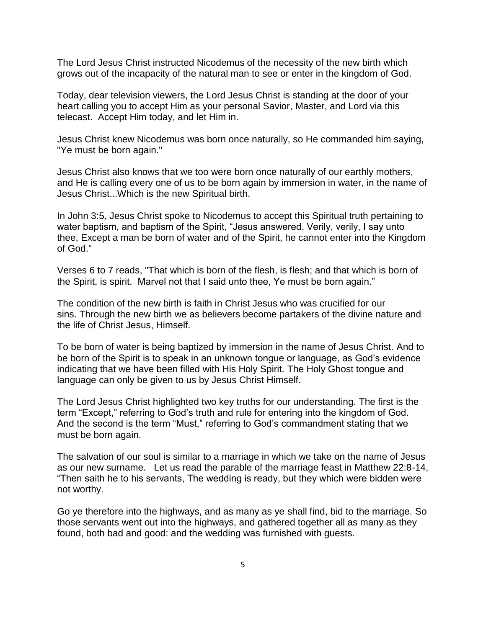The Lord Jesus Christ instructed Nicodemus of the necessity of the new birth which grows out of the incapacity of the natural man to see or enter in the kingdom of God.

Today, dear television viewers, the Lord Jesus Christ is standing at the door of your heart calling you to accept Him as your personal Savior, Master, and Lord via this telecast. Accept Him today, and let Him in.

Jesus Christ knew Nicodemus was born once naturally, so He commanded him saying, "Ye must be born again."

Jesus Christ also knows that we too were born once naturally of our earthly mothers, and He is calling every one of us to be born again by immersion in water, in the name of Jesus Christ...Which is the new Spiritual birth.

In John 3:5, Jesus Christ spoke to Nicodemus to accept this Spiritual truth pertaining to water baptism, and baptism of the Spirit, "Jesus answered, Verily, verily, I say unto thee, Except a man be born of water and of the Spirit, he cannot enter into the Kingdom of God."

Verses 6 to 7 reads, "That which is born of the flesh, is flesh; and that which is born of the Spirit, is spirit. Marvel not that I said unto thee, Ye must be born again."

The condition of the new birth is faith in Christ Jesus who was crucified for our sins. Through the new birth we as believers become partakers of the divine nature and the life of Christ Jesus, Himself.

To be born of water is being baptized by immersion in the name of Jesus Christ. And to be born of the Spirit is to speak in an unknown tongue or language, as God's evidence indicating that we have been filled with His Holy Spirit. The Holy Ghost tongue and language can only be given to us by Jesus Christ Himself.

The Lord Jesus Christ highlighted two key truths for our understanding. The first is the term "Except," referring to God's truth and rule for entering into the kingdom of God. And the second is the term "Must," referring to God's commandment stating that we must be born again.

The salvation of our soul is similar to a marriage in which we take on the name of Jesus as our new surname. Let us read the parable of the marriage feast in Matthew 22:8-14, "Then saith he to his servants, The wedding is ready, but they which were bidden were not worthy.

Go ye therefore into the highways, and as many as ye shall find, bid to the marriage. So those servants went out into the highways, and gathered together all as many as they found, both bad and good: and the wedding was furnished with guests.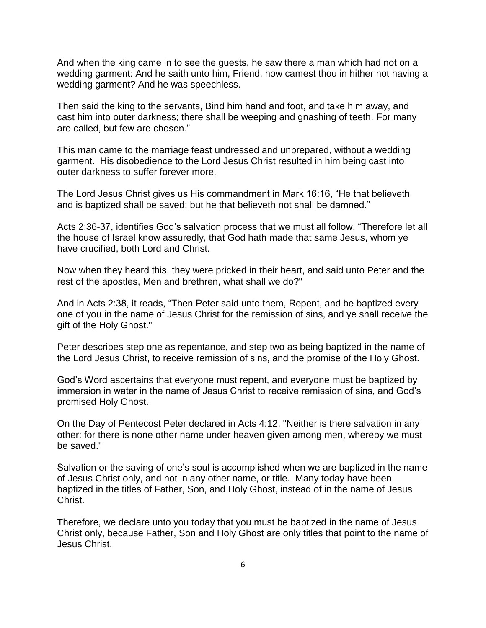And when the king came in to see the guests, he saw there a man which had not on a wedding garment: And he saith unto him, Friend, how camest thou in hither not having a wedding garment? And he was speechless.

Then said the king to the servants, Bind him hand and foot, and take him away, and cast him into outer darkness; there shall be weeping and gnashing of teeth. For many are called, but few are chosen."

This man came to the marriage feast undressed and unprepared, without a wedding garment. His disobedience to the Lord Jesus Christ resulted in him being cast into outer darkness to suffer forever more.

The Lord Jesus Christ gives us His commandment in Mark 16:16, "He that believeth and is baptized shall be saved; but he that believeth not shall be damned."

Acts 2:36-37, identifies God's salvation process that we must all follow, "Therefore let all the house of Israel know assuredly, that God hath made that same Jesus, whom ye have crucified, both Lord and Christ.

Now when they heard this, they were pricked in their heart, and said unto Peter and the rest of the apostles, Men and brethren, what shall we do?"

And in Acts 2:38, it reads, "Then Peter said unto them, Repent, and be baptized every one of you in the name of Jesus Christ for the remission of sins, and ye shall receive the gift of the Holy Ghost."

Peter describes step one as repentance, and step two as being baptized in the name of the Lord Jesus Christ, to receive remission of sins, and the promise of the Holy Ghost.

God's Word ascertains that everyone must repent, and everyone must be baptized by immersion in water in the name of Jesus Christ to receive remission of sins, and God's promised Holy Ghost.

On the Day of Pentecost Peter declared in Acts 4:12, "Neither is there salvation in any other: for there is none other name under heaven given among men, whereby we must be saved."

Salvation or the saving of one's soul is accomplished when we are baptized in the name of Jesus Christ only, and not in any other name, or title. Many today have been baptized in the titles of Father, Son, and Holy Ghost, instead of in the name of Jesus Christ.

Therefore, we declare unto you today that you must be baptized in the name of Jesus Christ only, because Father, Son and Holy Ghost are only titles that point to the name of Jesus Christ.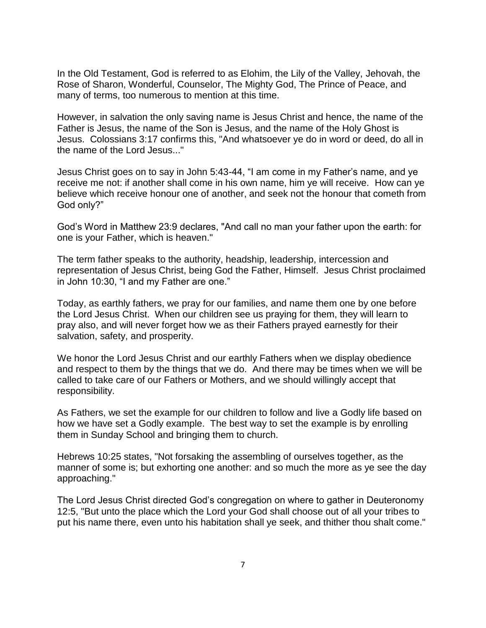In the Old Testament, God is referred to as Elohim, the Lily of the Valley, Jehovah, the Rose of Sharon, Wonderful, Counselor, The Mighty God, The Prince of Peace, and many of terms, too numerous to mention at this time.

However, in salvation the only saving name is Jesus Christ and hence, the name of the Father is Jesus, the name of the Son is Jesus, and the name of the Holy Ghost is Jesus. Colossians 3:17 confirms this, "And whatsoever ye do in word or deed, do all in the name of the Lord Jesus..."

Jesus Christ goes on to say in John 5:43-44, "I am come in my Father's name, and ye receive me not: if another shall come in his own name, him ye will receive. How can ye believe which receive honour one of another, and seek not the honour that cometh from God only?"

God's Word in Matthew 23:9 declares, "And call no man your father upon the earth: for one is your Father, which is heaven."

The term father speaks to the authority, headship, leadership, intercession and representation of Jesus Christ, being God the Father, Himself. Jesus Christ proclaimed in John 10:30, "I and my Father are one."

Today, as earthly fathers, we pray for our families, and name them one by one before the Lord Jesus Christ. When our children see us praying for them, they will learn to pray also, and will never forget how we as their Fathers prayed earnestly for their salvation, safety, and prosperity.

We honor the Lord Jesus Christ and our earthly Fathers when we display obedience and respect to them by the things that we do. And there may be times when we will be called to take care of our Fathers or Mothers, and we should willingly accept that responsibility.

As Fathers, we set the example for our children to follow and live a Godly life based on how we have set a Godly example. The best way to set the example is by enrolling them in Sunday School and bringing them to church.

Hebrews 10:25 states, "Not forsaking the assembling of ourselves together, as the manner of some is; but exhorting one another: and so much the more as ye see the day approaching."

The Lord Jesus Christ directed God's congregation on where to gather in Deuteronomy 12:5, "But unto the place which the Lord your God shall choose out of all your tribes to put his name there, even unto his habitation shall ye seek, and thither thou shalt come."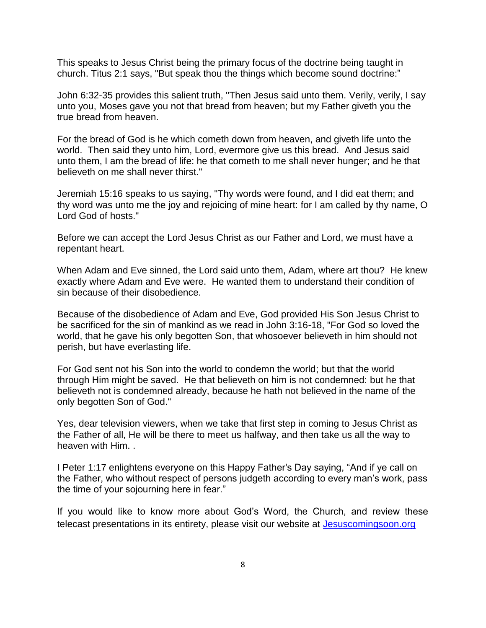This speaks to Jesus Christ being the primary focus of the doctrine being taught in church. Titus 2:1 says, "But speak thou the things which become sound doctrine:"

John 6:32-35 provides this salient truth, "Then Jesus said unto them. Verily, verily, I say unto you, Moses gave you not that bread from heaven; but my Father giveth you the true bread from heaven.

For the bread of God is he which cometh down from heaven, and giveth life unto the world. Then said they unto him, Lord, evermore give us this bread. And Jesus said unto them, I am the bread of life: he that cometh to me shall never hunger; and he that believeth on me shall never thirst."

Jeremiah 15:16 speaks to us saying, "Thy words were found, and I did eat them; and thy word was unto me the joy and rejoicing of mine heart: for I am called by thy name, O Lord God of hosts."

Before we can accept the Lord Jesus Christ as our Father and Lord, we must have a repentant heart.

When Adam and Eve sinned, the Lord said unto them, Adam, where art thou? He knew exactly where Adam and Eve were. He wanted them to understand their condition of sin because of their disobedience.

Because of the disobedience of Adam and Eve, God provided His Son Jesus Christ to be sacrificed for the sin of mankind as we read in John 3:16-18, "For God so loved the world, that he gave his only begotten Son, that whosoever believeth in him should not perish, but have everlasting life.

For God sent not his Son into the world to condemn the world; but that the world through Him might be saved. He that believeth on him is not condemned: but he that believeth not is condemned already, because he hath not believed in the name of the only begotten Son of God."

Yes, dear television viewers, when we take that first step in coming to Jesus Christ as the Father of all, He will be there to meet us halfway, and then take us all the way to heaven with Him. .

I Peter 1:17 enlightens everyone on this Happy Father's Day saying, "And if ye call on the Father, who without respect of persons judgeth according to every man's work, pass the time of your sojourning here in fear."

If you would like to know more about God's Word, the Church, and review these telecast presentations in its entirety, please visit our website at [Jesuscomingsoon.org](http://www.jesuscomingsoon.org/)